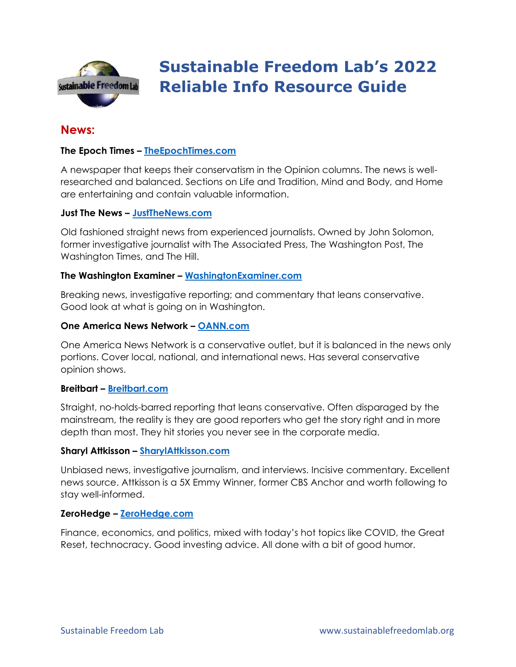

# **Sustainable Freedom Lab's 2022 Reliable Info Resource Guide**

# **News:**

# **The Epoch Times – [TheEpochTimes.com](https://www.theepochtimes.com/)**

A newspaper that keeps their conservatism in the Opinion columns. The news is wellresearched and balanced. Sections on Life and Tradition, Mind and Body, and Home are entertaining and contain valuable information.

# **Just The News – [JustTheNews.com](https://justthenews.com/)**

Old fashioned straight news from experienced journalists. Owned by John Solomon, former investigative journalist with The Associated Press, The Washington Post, The Washington Times, and The Hill.

#### **The Washington Examiner – [WashingtonExaminer.com](https://www.washingtonexaminer.com/)**

Breaking news, investigative reporting; and commentary that leans conservative. Good look at what is going on in Washington.

#### **One America News Network – [OANN.com](https://www.oann.com/)**

One America News Network is a conservative outlet, but it is balanced in the news only portions. Cover local, national, and international news. Has several conservative opinion shows.

#### **Breitbart – [Breitbart.com](https://www.breitbart.com/?utm_source=LibertyNation&utm_campaign=Top20ConservativeNewsSites2020)**

Straight, no-holds-barred reporting that leans conservative. Often disparaged by the mainstream, the reality is they are good reporters who get the story right and in more depth than most. They hit stories you never see in the corporate media.

#### **Sharyl Attkisson – [SharylAttkisson.com](https://sharylattkisson.com/)**

Unbiased news, investigative journalism, and interviews. Incisive commentary. Excellent news source. Attkisson is a 5X Emmy Winner, former CBS Anchor and worth following to stay well-informed.

#### **ZeroHedge – [ZeroHedge.com](https://www.zerohedge.com/)**

Finance, economics, and politics, mixed with today's hot topics like COVID, the Great Reset, technocracy. Good investing advice. All done with a bit of good humor.